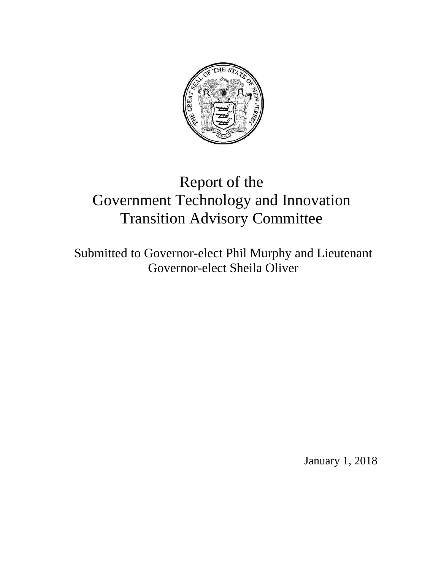

# Report of the Government Technology and Innovation Transition Advisory Committee

Submitted to Governor-elect Phil Murphy and Lieutenant Governor-elect Sheila Oliver

January 1, 2018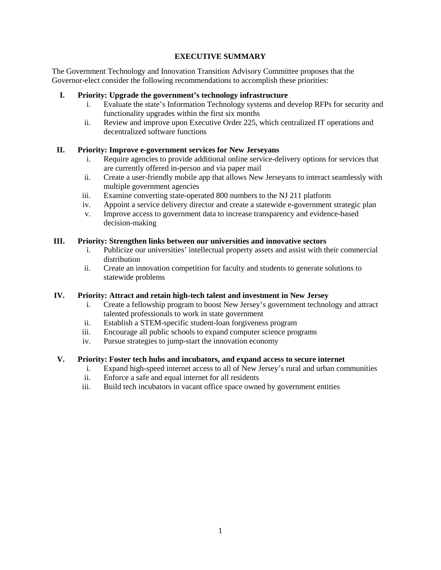## **EXECUTIVE SUMMARY**

The Government Technology and Innovation Transition Advisory Committee proposes that the Governor-elect consider the following recommendations to accomplish these priorities:

# **I. Priority: Upgrade the government's technology infrastructure**

- i. Evaluate the state's Information Technology systems and develop RFPs for security and functionality upgrades within the first six months
- ii. Review and improve upon Executive Order 225, which centralized IT operations and decentralized software functions

## **II. Priority: Improve e-government services for New Jerseyans**

- i. Require agencies to provide additional online service-delivery options for services that are currently offered in-person and via paper mail
- ii. Create a user-friendly mobile app that allows New Jerseyans to interact seamlessly with multiple government agencies
- iii. Examine converting state-operated 800 numbers to the NJ 211 platform
- iv. Appoint a service delivery director and create a statewide e-government strategic plan
- v. Improve access to government data to increase transparency and evidence-based decision-making

#### **III. Priority: Strengthen links between our universities and innovative sectors**

- i. Publicize our universities' intellectual property assets and assist with their commercial distribution
- ii. Create an innovation competition for faculty and students to generate solutions to statewide problems

#### **IV. Priority: Attract and retain high-tech talent and investment in New Jersey**

- i. Create a fellowship program to boost New Jersey's government technology and attract talented professionals to work in state government
- ii. Establish a STEM-specific student-loan forgiveness program
- iii. Encourage all public schools to expand computer science programs
- iv. Pursue strategies to jump-start the innovation economy

## **V. Priority: Foster tech hubs and incubators, and expand access to secure internet**

- i. Expand high-speed internet access to all of New Jersey's rural and urban communities
- ii. Enforce a safe and equal internet for all residents
- iii. Build tech incubators in vacant office space owned by government entities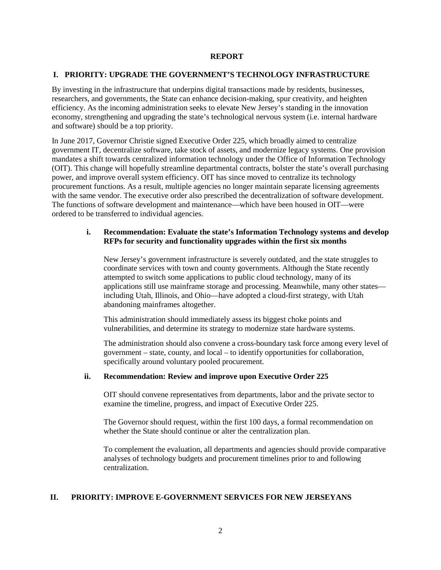#### **REPORT**

#### **I. PRIORITY: UPGRADE THE GOVERNMENT'S TECHNOLOGY INFRASTRUCTURE**

By investing in the infrastructure that underpins digital transactions made by residents, businesses, researchers, and governments, the State can enhance decision-making, spur creativity, and heighten efficiency. As the incoming administration seeks to elevate New Jersey's standing in the innovation economy, strengthening and upgrading the state's technological nervous system (i.e. internal hardware and software) should be a top priority.

In June 2017, Governor Christie signed Executive Order 225, which broadly aimed to centralize government IT, decentralize software, take stock of assets, and modernize legacy systems. One provision mandates a shift towards centralized information technology under the Office of Information Technology (OIT). This change will hopefully streamline departmental contracts, bolster the state's overall purchasing power, and improve overall system efficiency. OIT has since moved to centralize its technology procurement functions. As a result, multiple agencies no longer maintain separate licensing agreements with the same vendor. The executive order also prescribed the decentralization of software development. The functions of software development and maintenance—which have been housed in OIT—were ordered to be transferred to individual agencies.

#### **i. Recommendation: Evaluate the state's Information Technology systems and develop RFPs for security and functionality upgrades within the first six months**

New Jersey's government infrastructure is severely outdated, and the state struggles to coordinate services with town and county governments. Although the State recently attempted to switch some applications to public cloud technology, many of its applications still use mainframe storage and processing. Meanwhile, many other states including Utah, Illinois, and Ohio—have adopted a cloud-first strategy, with Utah abandoning mainframes altogether.

This administration should immediately assess its biggest choke points and vulnerabilities, and determine its strategy to modernize state hardware systems.

The administration should also convene a cross-boundary task force among every level of government – state, county, and local – to identify opportunities for collaboration, specifically around voluntary pooled procurement.

#### **ii. Recommendation: Review and improve upon Executive Order 225**

OIT should convene representatives from departments, labor and the private sector to examine the timeline, progress, and impact of Executive Order 225.

The Governor should request, within the first 100 days, a formal recommendation on whether the State should continue or alter the centralization plan.

To complement the evaluation, all departments and agencies should provide comparative analyses of technology budgets and procurement timelines prior to and following centralization.

#### **II. PRIORITY: IMPROVE E-GOVERNMENT SERVICES FOR NEW JERSEYANS**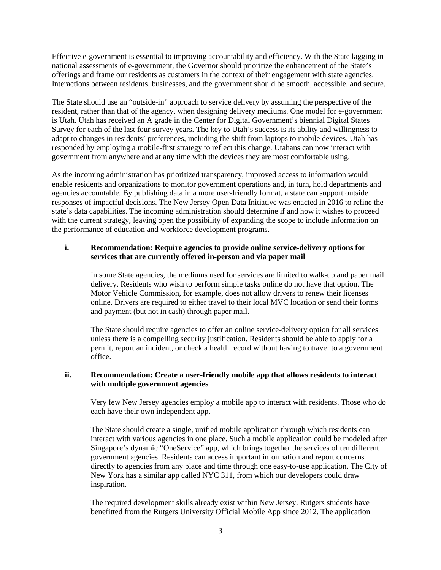Effective e-government is essential to improving accountability and efficiency. With the State lagging in national assessments of e-government, the Governor should prioritize the enhancement of the State's offerings and frame our residents as customers in the context of their engagement with state agencies. Interactions between residents, businesses, and the government should be smooth, accessible, and secure.

The State should use an "outside-in" approach to service delivery by assuming the perspective of the resident, rather than that of the agency, when designing delivery mediums. One model for e-government is Utah. Utah has received an A grade in the Center for Digital Government's biennial Digital States Survey for each of the last four survey years. The key to Utah's success is its ability and willingness to adapt to changes in residents' preferences, including the shift from laptops to mobile devices. Utah has responded by employing a mobile-first strategy to reflect this change. Utahans can now interact with government from anywhere and at any time with the devices they are most comfortable using.

As the incoming administration has prioritized transparency, improved access to information would enable residents and organizations to monitor government operations and, in turn, hold departments and agencies accountable. By publishing data in a more user-friendly format, a state can support outside responses of impactful decisions. The New Jersey Open Data Initiative was enacted in 2016 to refine the state's data capabilities. The incoming administration should determine if and how it wishes to proceed with the current strategy, leaving open the possibility of expanding the scope to include information on the performance of education and workforce development programs.

## **i. Recommendation: Require agencies to provide online service-delivery options for services that are currently offered in-person and via paper mail**

In some State agencies, the mediums used for services are limited to walk-up and paper mail delivery. Residents who wish to perform simple tasks online do not have that option. The Motor Vehicle Commission, for example, does not allow drivers to renew their licenses online. Drivers are required to either travel to their local MVC location or send their forms and payment (but not in cash) through paper mail.

The State should require agencies to offer an online service-delivery option for all services unless there is a compelling security justification. Residents should be able to apply for a permit, report an incident, or check a health record without having to travel to a government office.

#### **ii. Recommendation: Create a user-friendly mobile app that allows residents to interact with multiple government agencies**

Very few New Jersey agencies employ a mobile app to interact with residents. Those who do each have their own independent app.

The State should create a single, unified mobile application through which residents can interact with various agencies in one place. Such a mobile application could be modeled after Singapore's dynamic "OneService" app, which brings together the services of ten different government agencies. Residents can access important information and report concerns directly to agencies from any place and time through one easy-to-use application. The City of New York has a similar app called NYC 311, from which our developers could draw inspiration.

The required development skills already exist within New Jersey. Rutgers students have benefitted from the Rutgers University Official Mobile App since 2012. The application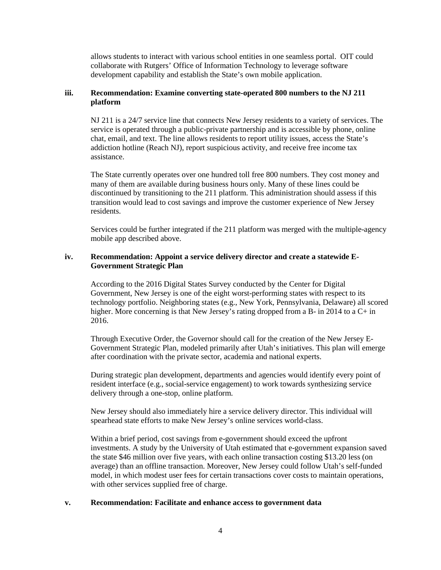allows students to interact with various school entities in one seamless portal. OIT could collaborate with Rutgers' Office of Information Technology to leverage software development capability and establish the State's own mobile application.

#### **iii. Recommendation: Examine converting state-operated 800 numbers to the NJ 211 platform**

NJ 211 is a 24/7 service line that connects New Jersey residents to a variety of services. The service is operated through a public-private partnership and is accessible by phone, online chat, email, and text. The line allows residents to report utility issues, access the State's addiction hotline (Reach NJ), report suspicious activity, and receive free income tax assistance.

The State currently operates over one hundred toll free 800 numbers. They cost money and many of them are available during business hours only. Many of these lines could be discontinued by transitioning to the 211 platform. This administration should assess if this transition would lead to cost savings and improve the customer experience of New Jersey residents.

Services could be further integrated if the 211 platform was merged with the multiple-agency mobile app described above.

#### **iv. Recommendation: Appoint a service delivery director and create a statewide E-Government Strategic Plan**

According to the 2016 Digital States Survey conducted by the Center for Digital Government, New Jersey is one of the eight worst-performing states with respect to its technology portfolio. Neighboring states (e.g., New York, Pennsylvania, Delaware) all scored higher. More concerning is that New Jersey's rating dropped from a B- in 2014 to a C+ in 2016.

Through Executive Order, the Governor should call for the creation of the New Jersey E-Government Strategic Plan, modeled primarily after Utah's initiatives. This plan will emerge after coordination with the private sector, academia and national experts.

During strategic plan development, departments and agencies would identify every point of resident interface (e.g., social-service engagement) to work towards synthesizing service delivery through a one-stop, online platform.

New Jersey should also immediately hire a service delivery director. This individual will spearhead state efforts to make New Jersey's online services world-class.

Within a brief period, cost savings from e-government should exceed the upfront investments. A study by the University of Utah estimated that e-government expansion saved the state \$46 million over five years, with each online transaction costing \$13.20 less (on average) than an offline transaction. Moreover, New Jersey could follow Utah's self-funded model, in which modest user fees for certain transactions cover costs to maintain operations, with other services supplied free of charge.

#### **v. Recommendation: Facilitate and enhance access to government data**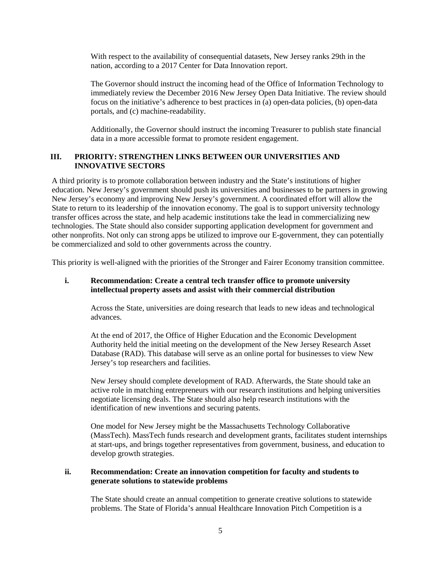With respect to the availability of consequential datasets, New Jersey ranks 29th in the nation, according to a 2017 Center for Data Innovation report.

The Governor should instruct the incoming head of the Office of Information Technology to immediately review the December 2016 New Jersey Open Data Initiative. The review should focus on the initiative's adherence to best practices in (a) open-data policies, (b) open-data portals, and (c) machine-readability.

Additionally, the Governor should instruct the incoming Treasurer to publish state financial data in a more accessible format to promote resident engagement.

#### **III. PRIORITY: STRENGTHEN LINKS BETWEEN OUR UNIVERSITIES AND INNOVATIVE SECTORS**

A third priority is to promote collaboration between industry and the State's institutions of higher education. New Jersey's government should push its universities and businesses to be partners in growing New Jersey's economy and improving New Jersey's government. A coordinated effort will allow the State to return to its leadership of the innovation economy. The goal is to support university technology transfer offices across the state, and help academic institutions take the lead in commercializing new technologies. The State should also consider supporting application development for government and other nonprofits. Not only can strong apps be utilized to improve our E-government, they can potentially be commercialized and sold to other governments across the country.

This priority is well-aligned with the priorities of the Stronger and Fairer Economy transition committee.

#### **i. Recommendation: Create a central tech transfer office to promote university intellectual property assets and assist with their commercial distribution**

Across the State, universities are doing research that leads to new ideas and technological advances.

At the end of 2017, the Office of Higher Education and the Economic Development Authority held the initial meeting on the development of the New Jersey Research Asset Database (RAD). This database will serve as an online portal for businesses to view New Jersey's top researchers and facilities.

New Jersey should complete development of RAD. Afterwards, the State should take an active role in matching entrepreneurs with our research institutions and helping universities negotiate licensing deals. The State should also help research institutions with the identification of new inventions and securing patents.

One model for New Jersey might be the Massachusetts Technology Collaborative (MassTech). MassTech funds research and development grants, facilitates student internships at start-ups, and brings together representatives from government, business, and education to develop growth strategies.

#### **ii. Recommendation: Create an innovation competition for faculty and students to generate solutions to statewide problems**

The State should create an annual competition to generate creative solutions to statewide problems. The State of Florida's annual Healthcare Innovation Pitch Competition is a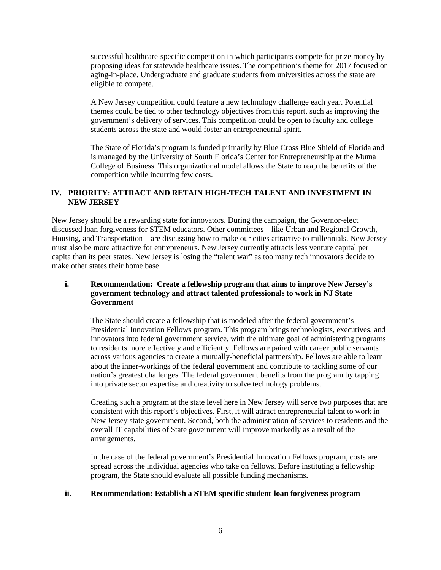successful healthcare-specific competition in which participants compete for prize money by proposing ideas for statewide healthcare issues. The competition's theme for 2017 focused on aging-in-place. Undergraduate and graduate students from universities across the state are eligible to compete.

A New Jersey competition could feature a new technology challenge each year. Potential themes could be tied to other technology objectives from this report, such as improving the government's delivery of services. This competition could be open to faculty and college students across the state and would foster an entrepreneurial spirit.

The State of Florida's program is funded primarily by Blue Cross Blue Shield of Florida and is managed by the University of South Florida's Center for Entrepreneurship at the Muma College of Business. This organizational model allows the State to reap the benefits of the competition while incurring few costs.

#### **IV. PRIORITY: ATTRACT AND RETAIN HIGH-TECH TALENT AND INVESTMENT IN NEW JERSEY**

New Jersey should be a rewarding state for innovators. During the campaign, the Governor-elect discussed loan forgiveness for STEM educators. Other committees—like Urban and Regional Growth, Housing, and Transportation—are discussing how to make our cities attractive to millennials. New Jersey must also be more attractive for entrepreneurs. New Jersey currently attracts less venture capital per capita than its peer states. New Jersey is losing the "talent war" as too many tech innovators decide to make other states their home base.

### **i. Recommendation: Create a fellowship program that aims to improve New Jersey's government technology and attract talented professionals to work in NJ State Government**

The State should create a fellowship that is modeled after the federal government's Presidential Innovation Fellows program. This program brings technologists, executives, and innovators into federal government service, with the ultimate goal of administering programs to residents more effectively and efficiently. Fellows are paired with career public servants across various agencies to create a mutually-beneficial partnership. Fellows are able to learn about the inner-workings of the federal government and contribute to tackling some of our nation's greatest challenges. The federal government benefits from the program by tapping into private sector expertise and creativity to solve technology problems.

Creating such a program at the state level here in New Jersey will serve two purposes that are consistent with this report's objectives. First, it will attract entrepreneurial talent to work in New Jersey state government. Second, both the administration of services to residents and the overall IT capabilities of State government will improve markedly as a result of the arrangements.

In the case of the federal government's Presidential Innovation Fellows program, costs are spread across the individual agencies who take on fellows. Before instituting a fellowship program, the State should evaluate all possible funding mechanisms**.**

#### **ii. Recommendation: Establish a STEM-specific student-loan forgiveness program**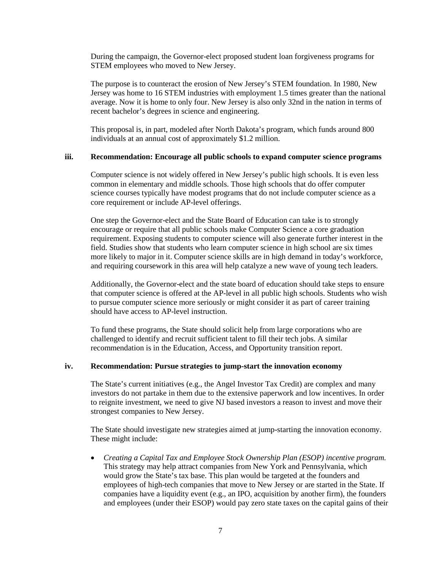During the campaign, the Governor-elect proposed student loan forgiveness programs for STEM employees who moved to New Jersey.

The purpose is to counteract the erosion of New Jersey's STEM foundation. In 1980, New Jersey was home to 16 STEM industries with employment 1.5 times greater than the national average. Now it is home to only four. New Jersey is also only 32nd in the nation in terms of recent bachelor's degrees in science and engineering.

This proposal is, in part, modeled after North Dakota's program, which funds around 800 individuals at an annual cost of approximately \$1.2 million.

#### **iii. Recommendation: Encourage all public schools to expand computer science programs**

Computer science is not widely offered in New Jersey's public high schools. It is even less common in elementary and middle schools. Those high schools that do offer computer science courses typically have modest programs that do not include computer science as a core requirement or include AP-level offerings.

One step the Governor-elect and the State Board of Education can take is to strongly encourage or require that all public schools make Computer Science a core graduation requirement. Exposing students to computer science will also generate further interest in the field. Studies show that students who learn computer science in high school are six times more likely to major in it. Computer science skills are in high demand in today's workforce, and requiring coursework in this area will help catalyze a new wave of young tech leaders.

Additionally, the Governor-elect and the state board of education should take steps to ensure that computer science is offered at the AP-level in all public high schools. Students who wish to pursue computer science more seriously or might consider it as part of career training should have access to AP-level instruction.

To fund these programs, the State should solicit help from large corporations who are challenged to identify and recruit sufficient talent to fill their tech jobs. A similar recommendation is in the Education, Access, and Opportunity transition report.

#### **iv. Recommendation: Pursue strategies to jump-start the innovation economy**

The State's current initiatives (e.g., the Angel Investor Tax Credit) are complex and many investors do not partake in them due to the extensive paperwork and low incentives. In order to reignite investment, we need to give NJ based investors a reason to invest and move their strongest companies to New Jersey.

The State should investigate new strategies aimed at jump-starting the innovation economy. These might include:

• *Creating a Capital Tax and Employee Stock Ownership Plan (ESOP) incentive program.* This strategy may help attract companies from New York and Pennsylvania, which would grow the State's tax base. This plan would be targeted at the founders and employees of high-tech companies that move to New Jersey or are started in the State. If companies have a liquidity event (e.g., an IPO, acquisition by another firm), the founders and employees (under their ESOP) would pay zero state taxes on the capital gains of their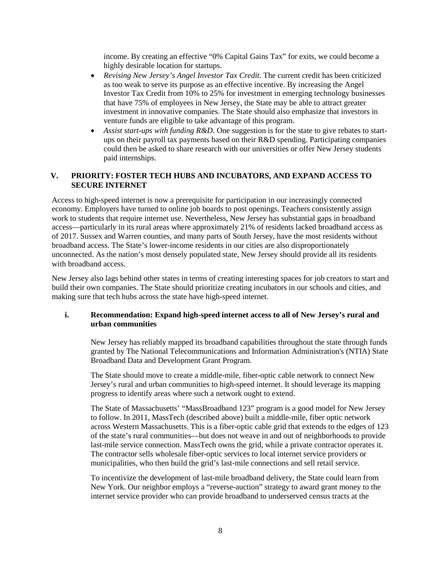income. By creating an effective "0% Capital Gains Tax" for exits, we could become a highly desirable location for startups.

- *Revising New Jersey's Angel Investor Tax Credit*. The current credit has been criticized as too weak to serve its purpose as an effective incentive. By increasing the Angel Investor Tax Credit from 10% to 25% for investment in emerging technology businesses that have 75% of employees in New Jersey, the State may be able to attract greater investment in innovative companies. The State should also emphasize that investors in venture funds are eligible to take advantage of this program.
- *Assist start-ups with funding R&D*. One suggestion is for the state to give rebates to startups on their payroll tax payments based on their R&D spending. Participating companies could then be asked to share research with our universities or offer New Jersey students paid internships.

#### **V. PRIORITY: FOSTER TECH HUBS AND INCUBATORS, AND EXPAND ACCESS TO SECURE INTERNET**

Access to high-speed internet is now a prerequisite for participation in our increasingly connected economy. Employers have turned to online job boards to post openings. Teachers consistently assign work to students that require internet use. Nevertheless, New Jersey has substantial gaps in broadband access—particularly in its rural areas where approximately 21% of residents lacked broadband access as of 2017. Sussex and Warren counties, and many parts of South Jersey, have the most residents without broadband access. The State's lower-income residents in our cities are also disproportionately unconnected. As the nation's most densely populated state, New Jersey should provide all its residents with broadband access.

New Jersey also lags behind other states in terms of creating interesting spaces for job creators to start and build their own companies. The State should prioritize creating incubators in our schools and cities, and making sure that tech hubs across the state have high-speed internet.

#### **i. Recommendation: Expand high-speed internet access to all of New Jersey's rural and urban communities**

New Jersey has reliably mapped its broadband capabilities throughout the state through funds granted by The National Telecommunications and Information Administration's (NTIA) State Broadband Data and Development Grant Program.

The State should move to create a middle-mile, fiber-optic cable network to connect New Jersey's rural and urban communities to high-speed internet. It should leverage its mapping progress to identify areas where such a network ought to extend.

The State of Massachusetts' "MassBroadband 123" program is a good model for New Jersey to follow. In 2011, MassTech (described above) built a middle-mile, fiber optic network across Western Massachusetts. This is a fiber-optic cable grid that extends to the edges of 123 of the state's rural communities—but does not weave in and out of neighborhoods to provide last-mile service connection. MassTech owns the grid, while a private contractor operates it. The contractor sells wholesale fiber-optic services to local internet service providers or municipalities, who then build the grid's last-mile connections and sell retail service.

To incentivize the development of last-mile broadband delivery, the State could learn from New York. Our neighbor employs a "reverse-auction" strategy to award grant money to the internet service provider who can provide broadband to underserved census tracts at the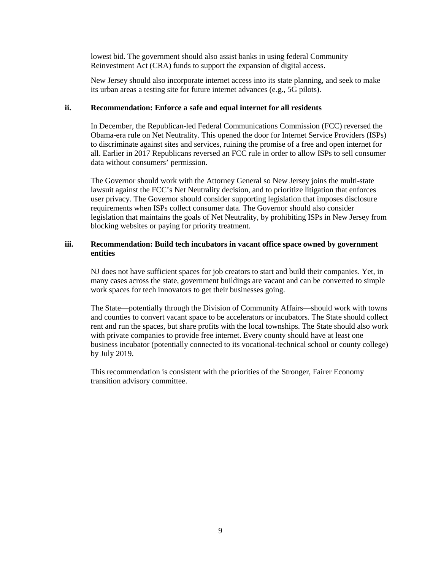lowest bid. The government should also assist banks in using federal Community Reinvestment Act (CRA) funds to support the expansion of digital access.

New Jersey should also incorporate internet access into its state planning, and seek to make its urban areas a testing site for future internet advances (e.g., 5G pilots).

#### **ii. Recommendation: Enforce a safe and equal internet for all residents**

In December, the Republican-led Federal Communications Commission (FCC) reversed the Obama-era rule on Net Neutrality. This opened the door for Internet Service Providers (ISPs) to discriminate against sites and services, ruining the promise of a free and open internet for all. Earlier in 2017 Republicans reversed an FCC rule in order to allow ISPs to sell consumer data without consumers' permission.

The Governor should work with the Attorney General so New Jersey joins the multi-state lawsuit against the FCC's Net Neutrality decision, and to prioritize litigation that enforces user privacy. The Governor should consider supporting legislation that imposes disclosure requirements when ISPs collect consumer data. The Governor should also consider legislation that maintains the goals of Net Neutrality, by prohibiting ISPs in New Jersey from blocking websites or paying for priority treatment.

#### **iii. Recommendation: Build tech incubators in vacant office space owned by government entities**

NJ does not have sufficient spaces for job creators to start and build their companies. Yet, in many cases across the state, government buildings are vacant and can be converted to simple work spaces for tech innovators to get their businesses going.

The State—potentially through the Division of Community Affairs—should work with towns and counties to convert vacant space to be accelerators or incubators. The State should collect rent and run the spaces, but share profits with the local townships. The State should also work with private companies to provide free internet. Every county should have at least one business incubator (potentially connected to its vocational-technical school or county college) by July 2019.

This recommendation is consistent with the priorities of the Stronger, Fairer Economy transition advisory committee.